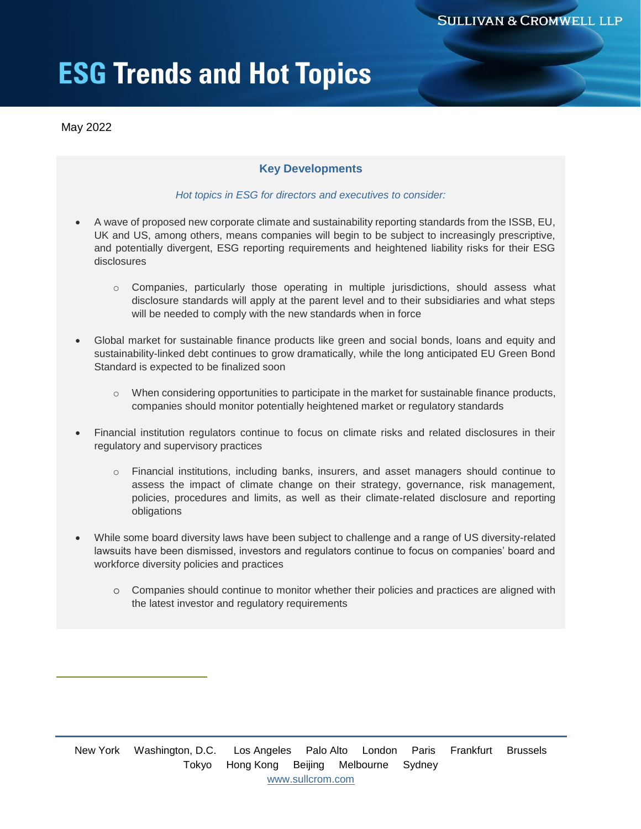# **ESG Trends and Hot Topics**

May 2022

## **Key Developments**

#### *Hot topics in ESG for directors and executives to consider:*

- A wave of proposed new corporate climate and sustainability reporting standards from the ISSB, EU, UK and US, among others, means companies will begin to be subject to increasingly prescriptive, and potentially divergent, ESG reporting requirements and heightened liability risks for their ESG disclosures
	- o Companies, particularly those operating in multiple jurisdictions, should assess what disclosure standards will apply at the parent level and to their subsidiaries and what steps will be needed to comply with the new standards when in force
- Global market for sustainable finance products like green and social bonds, loans and equity and sustainability-linked debt continues to grow dramatically, while the long anticipated EU Green Bond Standard is expected to be finalized soon
	- $\circ$  When considering opportunities to participate in the market for sustainable finance products, companies should monitor potentially heightened market or regulatory standards
- Financial institution regulators continue to focus on climate risks and related disclosures in their regulatory and supervisory practices
	- o Financial institutions, including banks, insurers, and asset managers should continue to assess the impact of climate change on their strategy, governance, risk management, policies, procedures and limits, as well as their climate-related disclosure and reporting obligations
- While some board diversity laws have been subject to challenge and a range of US diversity-related lawsuits have been dismissed, investors and regulators continue to focus on companies' board and workforce diversity policies and practices
	- o Companies should continue to monitor whether their policies and practices are aligned with the latest investor and regulatory requirements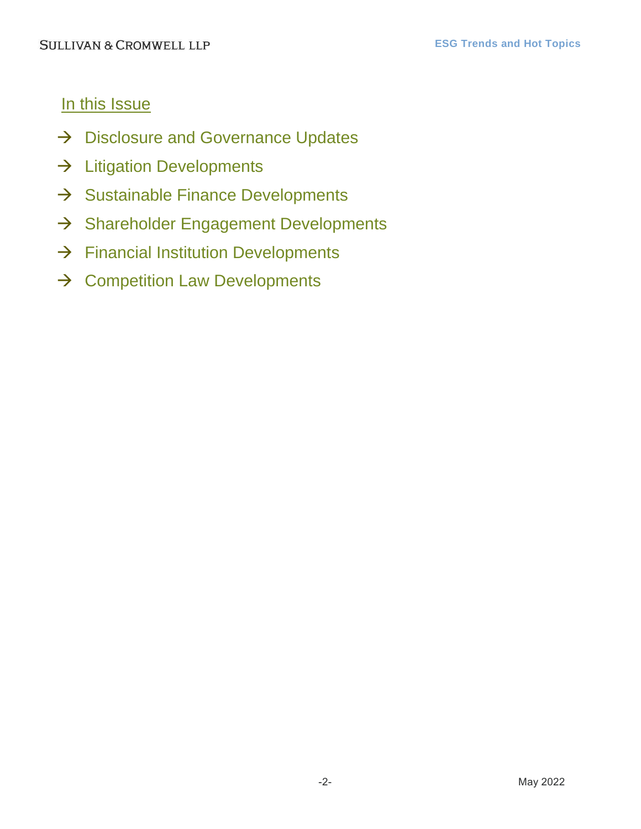## In this Issue

- $\rightarrow$  [Disclosure and Governance Updates](#page-2-0)
- $\rightarrow$  [Litigation Developments](#page-5-0)
- $\rightarrow$  [Sustainable Finance Developments](#page-6-0)
- $\rightarrow$  [Shareholder Engagement Developments](#page-7-0)
- $\rightarrow$  [Financial Institution Developments](#page-8-0)
- $\rightarrow$  [Competition Law Developments](#page-10-0)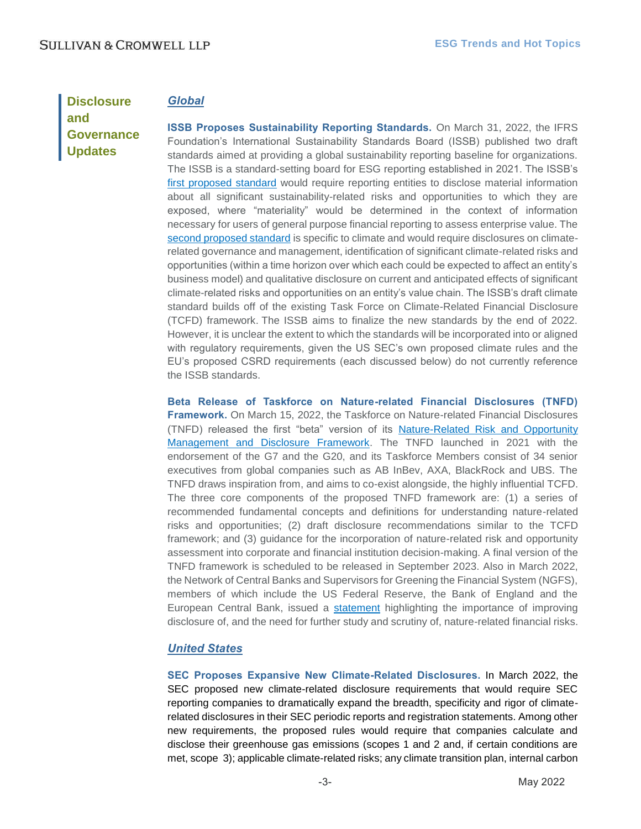## <span id="page-2-0"></span>**Disclosure and Governance Updates**

## *Global*

**ISSB Proposes Sustainability Reporting Standards.** On March 31, 2022, the IFRS Foundation's International Sustainability Standards Board (ISSB) published two draft standards aimed at providing a global sustainability reporting baseline for organizations. The ISSB is a standard-setting board for ESG reporting established in 2021. The ISSB's first [proposed standard](https://www.ifrs.org/content/dam/ifrs/project/general-sustainability-related-disclosures/exposure-draft-ifrs-s1-general-requirements-for-disclosure-of-sustainability-related-financial-information.pdf) would require reporting entities to disclose material information about all significant sustainability-related risks and opportunities to which they are exposed, where "materiality" would be determined in the context of information necessary for users of general purpose financial reporting to assess enterprise value. The [second proposed standard](https://www.ifrs.org/content/dam/ifrs/project/climate-related-disclosures/issb-exposure-draft-2022-2-climate-related-disclosures.pdf) is specific to climate and would require disclosures on climaterelated governance and management, identification of significant climate-related risks and opportunities (within a time horizon over which each could be expected to affect an entity's business model) and qualitative disclosure on current and anticipated effects of significant climate-related risks and opportunities on an entity's value chain. The ISSB's draft climate standard builds off of the existing Task Force on Climate-Related Financial Disclosure (TCFD) framework. The ISSB aims to finalize the new standards by the end of 2022. However, it is unclear the extent to which the standards will be incorporated into or aligned with regulatory requirements, given the US SEC's own proposed climate rules and the EU's proposed CSRD requirements (each discussed below) do not currently reference the ISSB standards.

**Beta Release of Taskforce on Nature-related Financial Disclosures (TNFD) Framework.** On March 15, 2022, the Taskforce on Nature-related Financial Disclosures (TNFD) released the first "beta" version of its [Nature-Related Risk and Opportunity](https://tnfd.global/publication/nature-related-risk-beta-framework-v01/)  [Management and Disclosure Framework.](https://tnfd.global/publication/nature-related-risk-beta-framework-v01/) The TNFD launched in 2021 with the endorsement of the G7 and the G20, and its Taskforce Members consist of 34 senior executives from global companies such as AB InBev, AXA, BlackRock and UBS. The TNFD draws inspiration from, and aims to co-exist alongside, the highly influential TCFD. The three core components of the proposed TNFD framework are: (1) a series of recommended fundamental concepts and definitions for understanding nature-related risks and opportunities; (2) draft disclosure recommendations similar to the TCFD framework; and (3) guidance for the incorporation of nature-related risk and opportunity assessment into corporate and financial institution decision-making. A final version of the TNFD framework is scheduled to be released in September 2023. Also in March 2022, the Network of Central Banks and Supervisors for Greening the Financial System (NGFS), members of which include the US Federal Reserve, the Bank of England and the European Central Bank, issued a [statement](https://www.ngfs.net/sites/default/files/medias/documents/statement_on_nature_related_financial_risks_-_final.pdf) highlighting the importance of improving disclosure of, and the need for further study and scrutiny of, nature-related financial risks.

### *United States*

**SEC Proposes Expansive New Climate-Related Disclosures.** In March 2022, the SEC proposed new climate-related disclosure requirements that would require SEC reporting companies to dramatically expand the breadth, specificity and rigor of climaterelated disclosures in their SEC periodic reports and registration statements. Among other new requirements, the proposed rules would require that companies calculate and disclose their greenhouse gas emissions (scopes 1 and 2 and, if certain conditions are met, scope 3); applicable climate-related risks; any climate transition plan, internal carbon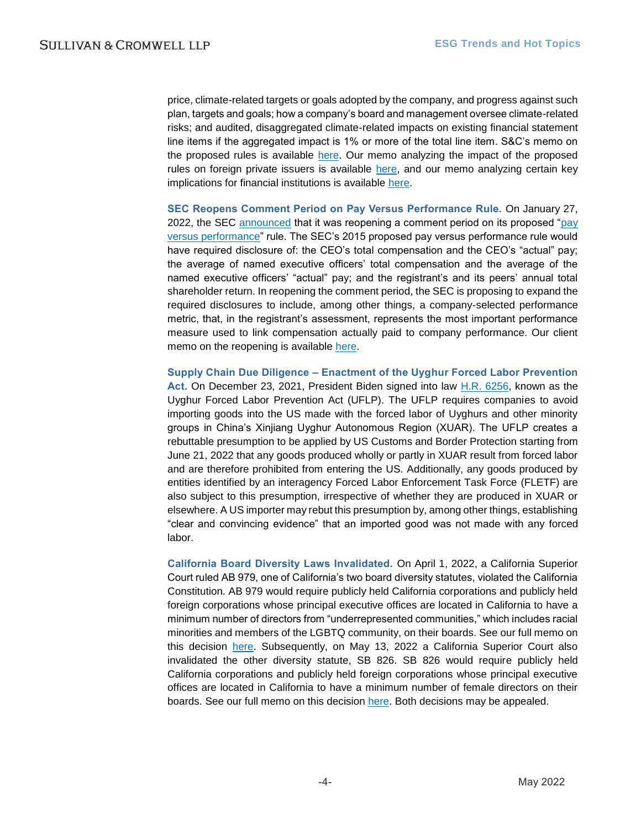price, climate-related targets or goals adopted by the company, and progress against such plan, targets and goals; how a company's board and management oversee climate-related risks; and audited, disaggregated climate-related impacts on existing financial statement line items if the aggregated impact is 1% or more of the total line item. S&C's memo on the proposed rules is available [here.](https://www.sullcrom.com/files/upload/sc-publication-sec-proposes-expansive-climate-related-disclosure-rules.pdf) Our memo analyzing the impact of the proposed rules on foreign private issuers is available [here,](https://www.sullcrom.com/files/upload/sc-publication-sec-proposes-climate-rules-to-impose-new-obligations-on-foreign-private-issuers.pdf) and our memo analyzing certain key implications for financial institutions is available [here.](https://www.sullcrom.com/files/upload/sc-publication-proposed-sec-climate-disclosure-rules-implications-for-financial-institutions.pdf)

**SEC Reopens Comment Period on Pay Versus Performance Rule.** On January 27, 2022, the SEC [announced](https://www.sec.gov/news/press-release/2022-11) that it was reopening a comment period on its proposed ["pay](https://www.sec.gov/rules/proposed/2022/34-94074.pdf)  [versus performance"](https://www.sec.gov/rules/proposed/2022/34-94074.pdf) rule. The SEC's 2015 proposed pay versus performance rule would have required disclosure of: the CEO's total compensation and the CEO's "actual" pay; the average of named executive officers' total compensation and the average of the named executive officers' "actual" pay; and the registrant's and its peers' annual total shareholder return. In reopening the comment period, the SEC is proposing to expand the required disclosures to include, among other things, a company-selected performance metric, that, in the registrant's assessment, represents the most important performance measure used to link compensation actually paid to company performance. Our client memo on the reopening is available [here.](https://www.sullcrom.com/files/upload/sc-publication-SEC-reopens-comment-period-pay-vs-performance.pdf)

**Supply Chain Due Diligence – Enactment of the Uyghur Forced Labor Prevention Act.** On December 23, 2021, President Biden signed into law [H.R. 6256,](https://www.congress.gov/bill/117th-congress/house-bill/6256) known as the Uyghur Forced Labor Prevention Act (UFLP). The UFLP requires companies to avoid importing goods into the US made with the forced labor of Uyghurs and other minority groups in China's Xinjiang Uyghur Autonomous Region (XUAR). The UFLP creates a rebuttable presumption to be applied by US Customs and Border Protection starting from June 21, 2022 that any goods produced wholly or partly in XUAR result from forced labor and are therefore prohibited from entering the US. Additionally, any goods produced by entities identified by an interagency Forced Labor Enforcement Task Force (FLETF) are also subject to this presumption, irrespective of whether they are produced in XUAR or elsewhere. A US importer may rebut this presumption by, among other things, establishing "clear and convincing evidence" that an imported good was not made with any forced labor.

**California Board Diversity Laws Invalidated.** On April 1, 2022, a California Superior Court ruled AB 979, one of California's two board diversity statutes, violated the California Constitution. AB 979 would require publicly held California corporations and publicly held foreign corporations whose principal executive offices are located in California to have a minimum number of directors from "underrepresented communities," which includes racial minorities and members of the LGBTQ community, on their boards. See our full memo on this decision [here.](https://www.sullcrom.com/files/upload/sc-publication-california-state-court-declares-ab-979-unconstitutional.pdf) Subsequently, on May 13, 2022 a California Superior Court also invalidated the other diversity statute, SB 826. SB 826 would require publicly held California corporations and publicly held foreign corporations whose principal executive offices are located in California to have a minimum number of female directors on their boards. See our full memo on this decision [here.](https://www.sullcrom.com/files/upload/sc-publication-california-state-court-declares-sb-826-unconstitutional.pdf) Both decisions may be appealed.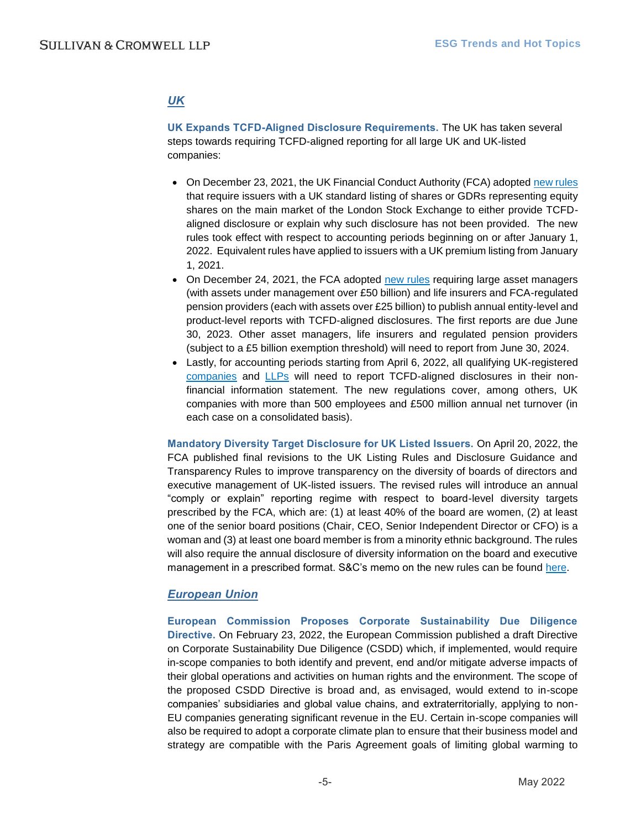## *UK*

**UK Expands TCFD-Aligned Disclosure Requirements.** The UK has taken several steps towards requiring TCFD-aligned reporting for all large UK and UK-listed companies:

- On December 23, 2021, the UK Financial Conduct Authority (FCA) adopted [new rules](https://www.fca.org.uk/publication/policy/ps21-23.pdf) that require issuers with a UK standard listing of shares or GDRs representing equity shares on the main market of the London Stock Exchange to either provide TCFDaligned disclosure or explain why such disclosure has not been provided. The new rules took effect with respect to accounting periods beginning on or after January 1, 2022. Equivalent rules have applied to issuers with a UK premium listing from January 1, 2021.
- On December 24, 2021, the FCA adopted [new rules](https://www.fca.org.uk/publication/policy/ps21-24.pdf) requiring large asset managers (with assets under management over £50 billion) and life insurers and FCA-regulated pension providers (each with assets over £25 billion) to publish annual entity-level and product-level reports with TCFD-aligned disclosures. The first reports are due June 30, 2023. Other asset managers, life insurers and regulated pension providers (subject to a £5 billion exemption threshold) will need to report from June 30, 2024.
- Lastly, for accounting periods starting from April 6, 2022, all qualifying UK-registered [companies](https://www.legislation.gov.uk/ukdsi/2021/9780348228519/contents) and [LLPs](https://www.legislation.gov.uk/uksi/2022/46/contents/made) will need to report TCFD-aligned disclosures in their nonfinancial information statement. The new regulations cover, among others, UK companies with more than 500 employees and £500 million annual net turnover (in each case on a consolidated basis).

**Mandatory Diversity Target Disclosure for UK Listed Issuers.** On April 20, 2022, the FCA published final revisions to the UK Listing Rules and Disclosure Guidance and Transparency Rules to improve transparency on the diversity of boards of directors and executive management of UK-listed issuers. The revised rules will introduce an annual "comply or explain" reporting regime with respect to board-level diversity targets prescribed by the FCA, which are: (1) at least 40% of the board are women, (2) at least one of the senior board positions (Chair, CEO, Senior Independent Director or CFO) is a woman and (3) at least one board member is from a minority ethnic background. The rules will also require the annual disclosure of diversity information on the board and executive management in a prescribed format. S&C's memo on the new rules can be found [here.](https://www.sullcrom.com/files/upload/sc-publication-mandatory-diversity-targets-for-uk-listed-issuers.pdf)

### *European Union*

**European Commission Proposes Corporate Sustainability Due Diligence Directive.** On February 23, 2022, the European Commission published a draft Directive on Corporate Sustainability Due Diligence (CSDD) which, if implemented, would require in-scope companies to both identify and prevent, end and/or mitigate adverse impacts of their global operations and activities on human rights and the environment. The scope of the proposed CSDD Directive is broad and, as envisaged, would extend to in-scope companies' subsidiaries and global value chains, and extraterritorially, applying to non-EU companies generating significant revenue in the EU. Certain in-scope companies will also be required to adopt a corporate climate plan to ensure that their business model and strategy are compatible with the Paris Agreement goals of limiting global warming to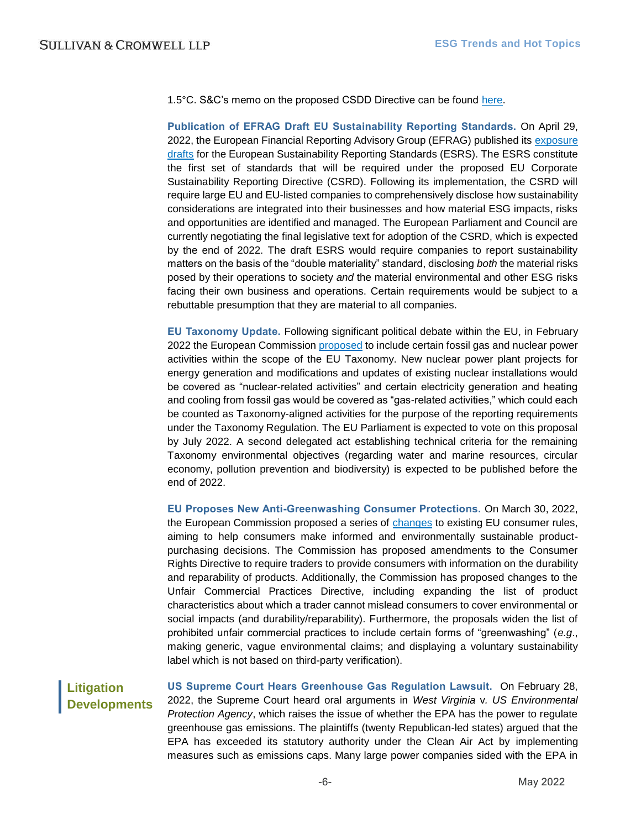1.5°C. S&C's memo on the proposed CSDD Directive can be found [here.](https://www.sullcrom.com/files/upload/sc-publication-eu-proposes-mandatory-corporate-sustainability-due-diligence-and-climate-change-plans.pdf)

**Publication of EFRAG Draft EU Sustainability Reporting Standards.** On April 29, 2022, the European Financial Reporting Advisory Group (EFRAG) published its [exposure](https://www.efrag.org/lab3#subtitle5)  [drafts](https://www.efrag.org/lab3#subtitle5) for the European Sustainability Reporting Standards (ESRS). The ESRS constitute the first set of standards that will be required under the proposed EU Corporate Sustainability Reporting Directive (CSRD). Following its implementation, the CSRD will require large EU and EU-listed companies to comprehensively disclose how sustainability considerations are integrated into their businesses and how material ESG impacts, risks and opportunities are identified and managed. The European Parliament and Council are currently negotiating the final legislative text for adoption of the CSRD, which is expected by the end of 2022. The draft ESRS would require companies to report sustainability matters on the basis of the "double materiality" standard, disclosing *both* the material risks posed by their operations to society *and* the material environmental and other ESG risks facing their own business and operations. Certain requirements would be subject to a rebuttable presumption that they are material to all companies.

**EU Taxonomy Update.** Following significant political debate within the EU, in February 2022 the European Commissio[n proposed](https://ec.europa.eu/finance/docs/level-2-measures/taxonomy-regulation-delegated-act-2022-631_en.pdf) to include certain fossil gas and nuclear power activities within the scope of the EU Taxonomy. New nuclear power plant projects for energy generation and modifications and updates of existing nuclear installations would be covered as "nuclear-related activities" and certain electricity generation and heating and cooling from fossil gas would be covered as "gas-related activities," which could each be counted as Taxonomy-aligned activities for the purpose of the reporting requirements under the Taxonomy Regulation. The EU Parliament is expected to vote on this proposal by July 2022. A second delegated act establishing technical criteria for the remaining Taxonomy environmental objectives (regarding water and marine resources, circular economy, pollution prevention and biodiversity) is expected to be published before the end of 2022.

**EU Proposes New Anti-Greenwashing Consumer Protections.** On March 30, 2022, the European Commission proposed a series of [changes](https://ec.europa.eu/info/publications/proposal-empowering-consumer-green-transition-and-annex_en) to existing EU consumer rules, aiming to help consumers make informed and environmentally sustainable productpurchasing decisions. The Commission has proposed amendments to the Consumer Rights Directive to require traders to provide consumers with information on the durability and reparability of products. Additionally, the Commission has proposed changes to the Unfair Commercial Practices Directive, including expanding the list of product characteristics about which a trader cannot mislead consumers to cover environmental or social impacts (and durability/reparability). Furthermore, the proposals widen the list of prohibited unfair commercial practices to include certain forms of "greenwashing" (*e.g*., making generic, vague environmental claims; and displaying a voluntary sustainability label which is not based on third-party verification).

<span id="page-5-0"></span>**Litigation Developments**

**US Supreme Court Hears Greenhouse Gas Regulation Lawsuit.**On February 28, 2022, the Supreme Court heard oral arguments in *West Virginia* v*. US Environmental Protection Agency*, which raises the issue of whether the EPA has the power to regulate greenhouse gas emissions. The plaintiffs (twenty Republican-led states) argued that the EPA has exceeded its statutory authority under the Clean Air Act by implementing measures such as emissions caps. Many large power companies sided with the EPA in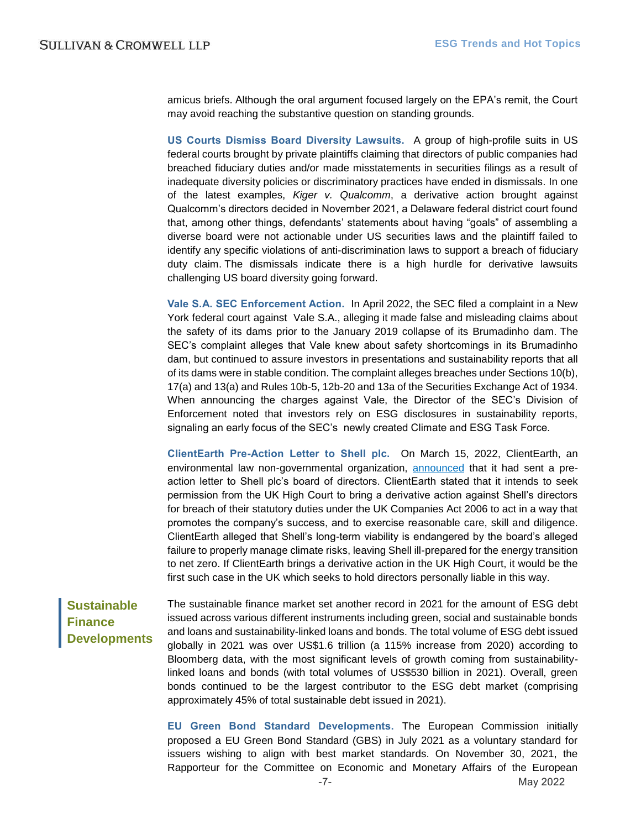amicus briefs. Although the oral argument focused largely on the EPA's remit, the Court may avoid reaching the substantive question on standing grounds.

**US Courts Dismiss Board Diversity Lawsuits.**A group of high-profile suits in US federal courts brought by private plaintiffs claiming that directors of public companies had breached fiduciary duties and/or made misstatements in securities filings as a result of inadequate diversity policies or discriminatory practices have ended in dismissals. In one of the latest examples, *Kiger v. Qualcomm*, a derivative action brought against Qualcomm's directors decided in November 2021, a Delaware federal district court found that, among other things, defendants' statements about having "goals" of assembling a diverse board were not actionable under US securities laws and the plaintiff failed to identify any specific violations of anti-discrimination laws to support a breach of fiduciary duty claim. The dismissals indicate there is a high hurdle for derivative lawsuits challenging US board diversity going forward.

**Vale S.A. SEC Enforcement Action.**In April 2022, the SEC filed a complaint in a New York federal court against Vale S.A., alleging it made false and misleading claims about the safety of its dams prior to the January 2019 collapse of its Brumadinho dam. The SEC's complaint alleges that Vale knew about safety shortcomings in its Brumadinho dam, but continued to assure investors in presentations and sustainability reports that all of its dams were in stable condition. The complaint alleges breaches under Sections 10(b), 17(a) and 13(a) and Rules 10b-5, 12b-20 and 13a of the Securities Exchange Act of 1934. When announcing the charges against Vale, the Director of the SEC's Division of Enforcement noted that investors rely on ESG disclosures in sustainability reports, signaling an early focus of the SEC's newly created Climate and ESG Task Force.

**ClientEarth Pre-Action Letter to Shell plc.**On March 15, 2022, ClientEarth, an environmental law non-governmental organization, [announced](https://www.clientearth.org/latest/press-office/press/clientearth-starts-legal-action-against-shell-s-board-over-mismanagement-of-climate-risk/) that it had sent a preaction letter to Shell plc's board of directors. ClientEarth stated that it intends to seek permission from the UK High Court to bring a derivative action against Shell's directors for breach of their statutory duties under the UK Companies Act 2006 to act in a way that promotes the company's success, and to exercise reasonable care, skill and diligence. ClientEarth alleged that Shell's long-term viability is endangered by the board's alleged failure to properly manage climate risks, leaving Shell ill-prepared for the energy transition to net zero. If ClientEarth brings a derivative action in the UK High Court, it would be the first such case in the UK which seeks to hold directors personally liable in this way.

<span id="page-6-0"></span>**Sustainable Finance Developments** The sustainable finance market set another record in 2021 for the amount of ESG debt issued across various different instruments including green, social and sustainable bonds and loans and sustainability-linked loans and bonds. The total volume of ESG debt issued globally in 2021 was over US\$1.6 trillion (a 115% increase from 2020) according to Bloomberg data, with the most significant levels of growth coming from sustainabilitylinked loans and bonds (with total volumes of US\$530 billion in 2021). Overall, green bonds continued to be the largest contributor to the ESG debt market (comprising approximately 45% of total sustainable debt issued in 2021).

**EU Green Bond Standard Developments.** The European Commission initially proposed a EU Green Bond Standard (GBS) in July 2021 as a voluntary standard for issuers wishing to align with best market standards. On November 30, 2021, the Rapporteur for the Committee on Economic and Monetary Affairs of the European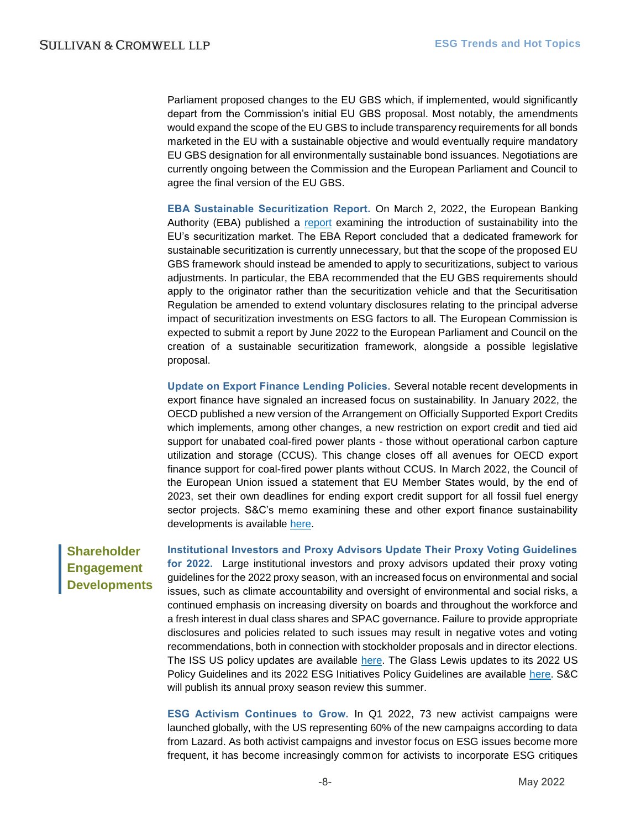Parliament proposed changes to the EU GBS which, if implemented, would significantly depart from the Commission's initial EU GBS proposal. Most notably, the amendments would expand the scope of the EU GBS to include transparency requirements for all bonds marketed in the EU with a sustainable objective and would eventually require mandatory EU GBS designation for all environmentally sustainable bond issuances. Negotiations are currently ongoing between the Commission and the European Parliament and Council to agree the final version of the EU GBS.

**EBA Sustainable Securitization Report.** On March 2, 2022, the European Banking Authority (EBA) published a [report](https://www.eba.europa.eu/sites/default/documents/files/document_library/Publications/Reports/2022/1027593/EBA%20report%20on%20sustainable%20securitisation.pdf) examining the introduction of sustainability into the EU's securitization market. The EBA Report concluded that a dedicated framework for sustainable securitization is currently unnecessary, but that the scope of the proposed EU GBS framework should instead be amended to apply to securitizations, subject to various adjustments. In particular, the EBA recommended that the EU GBS requirements should apply to the originator rather than the securitization vehicle and that the Securitisation Regulation be amended to extend voluntary disclosures relating to the principal adverse impact of securitization investments on ESG factors to all. The European Commission is expected to submit a report by June 2022 to the European Parliament and Council on the creation of a sustainable securitization framework, alongside a possible legislative proposal.

**Update on Export Finance Lending Policies.** Several notable recent developments in export finance have signaled an increased focus on sustainability. In January 2022, the OECD published a new version of the Arrangement on Officially Supported Export Credits which implements, among other changes, a new restriction on export credit and tied aid support for unabated coal-fired power plants - those without operational carbon capture utilization and storage (CCUS). This change closes off all avenues for OECD export finance support for coal-fired power plants without CCUS. In March 2022, the Council of the European Union issued a statement that EU Member States would, by the end of 2023, set their own deadlines for ending export credit support for all fossil fuel energy sector projects. S&C's memo examining these and other export finance sustainability developments is available [here.](https://www.sullcrom.com/files/upload/sc-publication-recent-sustainability-developments-export-financing.pdf)

## <span id="page-7-0"></span>**Shareholder Engagement Developments**

**Institutional Investors and Proxy Advisors Update Their Proxy Voting Guidelines for 2022.**Large institutional investors and proxy advisors updated their proxy voting guidelines for the 2022 proxy season, with an increased focus on environmental and social issues, such as climate accountability and oversight of environmental and social risks, a continued emphasis on increasing diversity on boards and throughout the workforce and a fresh interest in dual class shares and SPAC governance. Failure to provide appropriate disclosures and policies related to such issues may result in negative votes and voting recommendations, both in connection with stockholder proposals and in director elections. The ISS US policy updates are available [here.](https://www.issgovernance.com/file/policy/latest/updates/Americas-Policy-Updates.pdf) The Glass Lewis updates to its 2022 US Policy Guidelines and its 2022 ESG Initiatives Policy Guidelines are available [here.](https://www.glasslewis.com/voting-policies-upcoming/) S&C will publish its annual proxy season review this summer.

**ESG Activism Continues to Grow.** In Q1 2022, 73 new activist campaigns were launched globally, with the US representing 60% of the new campaigns according to data from Lazard. As both activist campaigns and investor focus on ESG issues become more frequent, it has become increasingly common for activists to incorporate ESG critiques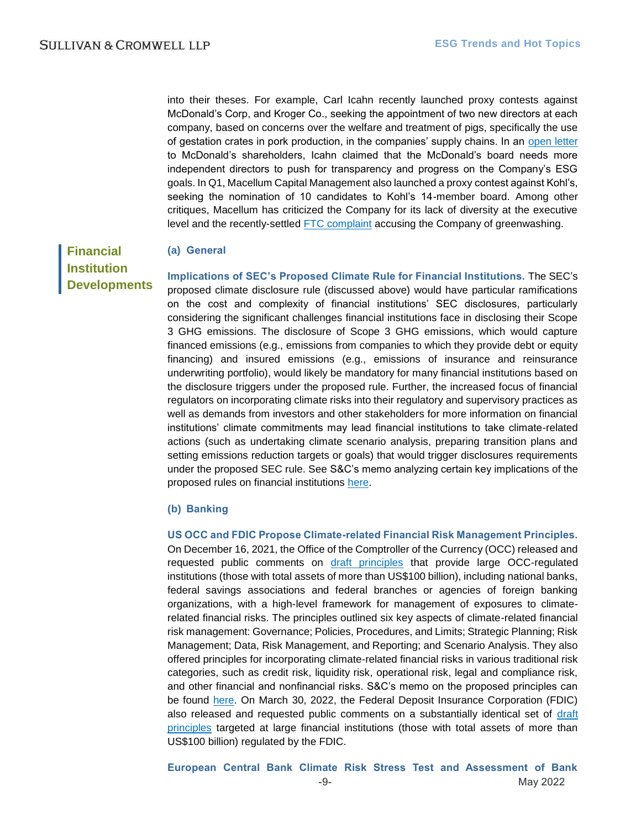into their theses. For example, Carl Icahn recently launched proxy contests against McDonald's Corp, and Kroger Co., seeking the appointment of two new directors at each company, based on concerns over the welfare and treatment of pigs, specifically the use of gestation crates in pork production, in the companies' supply chains. In an [open letter](https://carlicahn.com/carl-c-icahn-files-definitive-proxy-statement-and-issues-open-letter-to-shareholders-of-mcdonalds-corporation/) to McDonald's shareholders, Icahn claimed that the McDonald's board needs more independent directors to push for transparency and progress on the Company's ESG goals. In Q1, Macellum Capital Management also launched a proxy contest against Kohl's, seeking the nomination of 10 candidates to Kohl's 14-member board. Among other critiques, Macellum has criticized the Company for its lack of diversity at the executive level and the recently-settled [FTC complaint](https://www.ftc.gov/news-events/news/press-releases/2022/04/ftc-uses-penalty-offense-authority-seek-largest-ever-civil-penalty-bogus-bamboo-marketing-kohls) accusing the Company of greenwashing.

<span id="page-8-0"></span>**Financial Institution Developments**

#### **(a) General**

**Implications of SEC's Proposed Climate Rule for Financial Institutions.** The SEC's proposed climate disclosure rule (discussed above) would have particular ramifications on the cost and complexity of financial institutions' SEC disclosures, particularly considering the significant challenges financial institutions face in disclosing their Scope 3 GHG emissions. The disclosure of Scope 3 GHG emissions, which would capture financed emissions (e.g., emissions from companies to which they provide debt or equity financing) and insured emissions (e.g., emissions of insurance and reinsurance underwriting portfolio), would likely be mandatory for many financial institutions based on the disclosure triggers under the proposed rule. Further, the increased focus of financial regulators on incorporating climate risks into their regulatory and supervisory practices as well as demands from investors and other stakeholders for more information on financial institutions' climate commitments may lead financial institutions to take climate-related actions (such as undertaking climate scenario analysis, preparing transition plans and setting emissions reduction targets or goals) that would trigger disclosures requirements under the proposed SEC rule. See S&C's memo analyzing certain key implications of the proposed rules on financial institutions [here.](https://www.sullcrom.com/files/upload/sc-publication-proposed-sec-climate-disclosure-rules-implications-for-financial-institutions.pdf)

#### **(b) Banking**

**US OCC and FDIC Propose Climate-related Financial Risk Management Principles.** On December 16, 2021, the Office of the Comptroller of the Currency (OCC) released and requested public comments on [draft principles](https://www.occ.gov/news-issuances/bulletins/2021/bulletin-2021-62a.pdf) that provide large OCC-regulated institutions (those with total assets of more than US\$100 billion), including national banks, federal savings associations and federal branches or agencies of foreign banking organizations, with a high-level framework for management of exposures to climaterelated financial risks. The principles outlined six key aspects of climate-related financial risk management: Governance; Policies, Procedures, and Limits; Strategic Planning; Risk Management; Data, Risk Management, and Reporting; and Scenario Analysis. They also offered principles for incorporating climate-related financial risks in various traditional risk categories, such as credit risk, liquidity risk, operational risk, legal and compliance risk, and other financial and nonfinancial risks. S&C's memo on the proposed principles can be found [here.](https://www.sullcrom.com/sc-publication-occ-release-and-seeks-feedback-on-principles-for-climate-related-financial-risks-management-for-large-banks) On March 30, 2022, the Federal Deposit Insurance Corporation (FDIC) also released and requested public comments on a substantially identical set of draft [principles](https://www.fdic.gov/news/press-releases/2022/pr22027.html) targeted at large financial institutions (those with total assets of more than US\$100 billion) regulated by the FDIC.

-9- May 2022 **European Central Bank Climate Risk Stress Test and Assessment of Bank**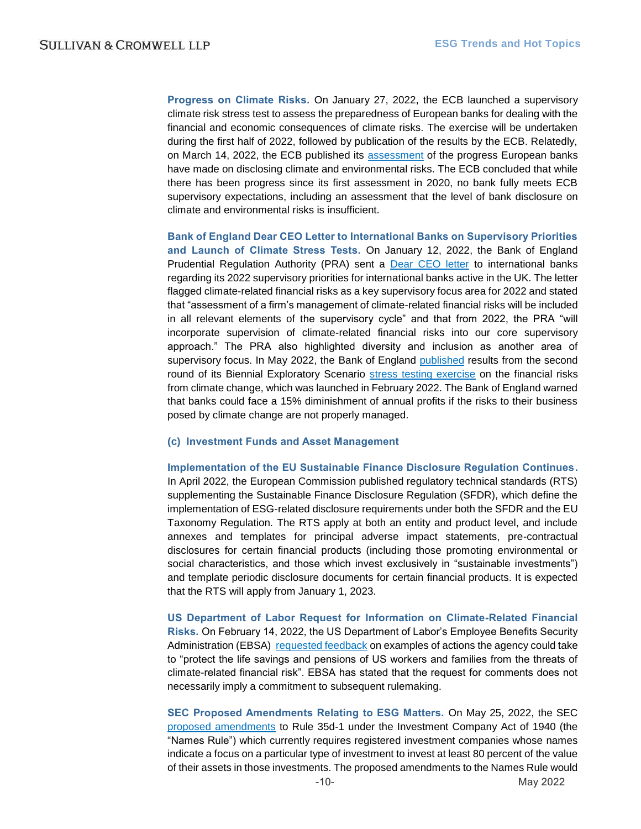**Progress on Climate Risks.** On January 27, 2022, the ECB launched a supervisory climate risk stress test to assess the preparedness of European banks for dealing with the financial and economic consequences of climate risks. The exercise will be undertaken during the first half of 2022, followed by publication of the results by the ECB. Relatedly, on March 14, 2022, the ECB published its [assessment](https://www.bankingsupervision.europa.eu/ecb/pub/pdf/ssm.ECB_Report_on_climate_and_environmental_disclosures_202203~4ae33f2a70.en.pdf) of the progress European banks have made on disclosing climate and environmental risks. The ECB concluded that while there has been progress since its first assessment in 2020, no bank fully meets ECB supervisory expectations, including an assessment that the level of bank disclosure on climate and environmental risks is insufficient.

**Bank of England Dear CEO Letter to International Banks on Supervisory Priorities and Launch of Climate Stress Tests.** On January 12, 2022, the Bank of England Prudential Regulation Authority (PRA) sent a [Dear CEO letter](https://www.bankofengland.co.uk/-/media/boe/files/prudential-regulation/letter/2022/january/artis-2022-priorities.pdf) to international banks regarding its 2022 supervisory priorities for international banks active in the UK. The letter flagged climate-related financial risks as a key supervisory focus area for 2022 and stated that "assessment of a firm's management of climate-related financial risks will be included in all relevant elements of the supervisory cycle" and that from 2022, the PRA "will incorporate supervision of climate-related financial risks into our core supervisory approach." The PRA also highlighted diversity and inclusion as another area of supervisory focus. In May 2022, the Bank of England [published](https://www.bankofengland.co.uk/news/2022/may/boe-publishes-results-of-the-2021-biennial-exploratory-scenario-financial-risks-from-climate-change) results from the second round of its Biennial Exploratory Scenario [stress testing exercise](https://www.bankofengland.co.uk/news/2022/february/boe-launches-second-round-of-biennial-exploratory-scenario) on the financial risks from climate change, which was launched in February 2022. The Bank of England warned that banks could face a 15% diminishment of annual profits if the risks to their business posed by climate change are not properly managed.

#### **(c) Investment Funds and Asset Management**

**Implementation of the EU Sustainable Finance Disclosure Regulation Continues.** In April 2022, the European Commission published regulatory technical standards (RTS) supplementing the Sustainable Finance Disclosure Regulation (SFDR), which define the implementation of ESG-related disclosure requirements under both the SFDR and the EU Taxonomy Regulation. The RTS apply at both an entity and product level, and include annexes and templates for principal adverse impact statements, pre-contractual disclosures for certain financial products (including those promoting environmental or social characteristics, and those which invest exclusively in "sustainable investments") and template periodic disclosure documents for certain financial products. It is expected that the RTS will apply from January 1, 2023.

**US Department of Labor Request for Information on Climate-Related Financial Risks.** On February 14, 2022, the US Department of Labor's Employee Benefits Security Administration (EBSA) [requested feedback](https://www.federalregister.gov/documents/2022/02/14/2022-02798/request-for-information-on-possible-agency-actions-to-protect-life-savings-and-pensions-from-threats) on examples of actions the agency could take to "protect the life savings and pensions of US workers and families from the threats of climate-related financial risk". EBSA has stated that the request for comments does not necessarily imply a commitment to subsequent rulemaking.

**SEC Proposed Amendments Relating to ESG Matters.** On May 25, 2022, the SEC [proposed amendments](https://www.sec.gov/news/press-release/2022-91) to Rule 35d-1 under the Investment Company Act of 1940 (the "Names Rule") which currently requires registered investment companies whose names indicate a focus on a particular type of investment to invest at least 80 percent of the value of their assets in those investments. The proposed amendments to the Names Rule would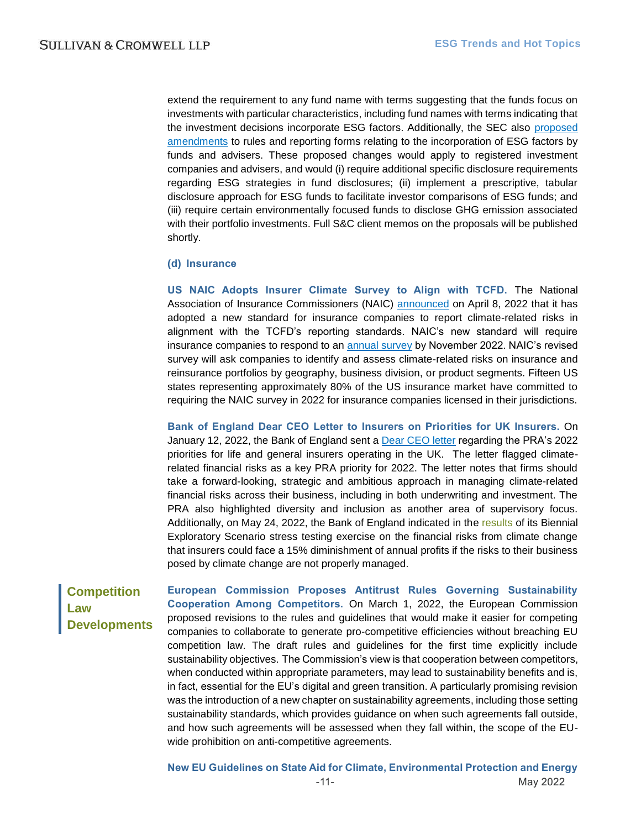extend the requirement to any fund name with terms suggesting that the funds focus on investments with particular characteristics, including fund names with terms indicating that the investment decisions incorporate ESG factors. Additionally, the SEC also [proposed](https://www.sec.gov/news/press-release/2022-92)  [amendments](https://www.sec.gov/news/press-release/2022-92) to rules and reporting forms relating to the incorporation of ESG factors by funds and advisers. These proposed changes would apply to registered investment companies and advisers, and would (i) require additional specific disclosure requirements regarding ESG strategies in fund disclosures; (ii) implement a prescriptive, tabular disclosure approach for ESG funds to facilitate investor comparisons of ESG funds; and (iii) require certain environmentally focused funds to disclose GHG emission associated with their portfolio investments. Full S&C client memos on the proposals will be published shortly.

#### **(d) Insurance**

**US NAIC Adopts Insurer Climate Survey to Align with TCFD.** The National Association of Insurance Commissioners (NAIC) [announced](https://content.naic.org/article/us-insurance-commissioners-endorse-internationally-recognized-climate-risk-disclosure-standard) on April 8, 2022 that it has adopted a new standard for insurance companies to report climate-related risks in alignment with the TCFD's reporting standards. NAIC's new standard will require insurance companies to respond to an [annual survey](https://content.naic.org/sites/default/files/inline-files/2022ProposedClimateRiskSurvey_0.pdf?msclkid=e24cf6f2b47211eca09ac1c752e22857) by November 2022. NAIC's revised survey will ask companies to identify and assess climate-related risks on insurance and reinsurance portfolios by geography, business division, or product segments. Fifteen US states representing approximately 80% of the US insurance market have committed to requiring the NAIC survey in 2022 for insurance companies licensed in their jurisdictions.

**Bank of England Dear CEO Letter to Insurers on Priorities for UK Insurers.** On January 12, 2022, the Bank of England sent a [Dear CEO letter](https://www.bankofengland.co.uk/-/media/boe/files/prudential-regulation/letter/2022/january/insurance-supervision-2022-priorities.pdf) regarding the PRA's 2022 priorities for life and general insurers operating in the UK. The letter flagged climaterelated financial risks as a key PRA priority for 2022. The letter notes that firms should take a forward-looking, strategic and ambitious approach in managing climate-related financial risks across their business, including in both underwriting and investment. The PRA also highlighted diversity and inclusion as another area of supervisory focus. Additionally, on May 24, 2022, the Bank of England indicated in the [results](https://www.bankofengland.co.uk/news/2022/may/boe-publishes-results-of-the-2021-biennial-exploratory-scenario-financial-risks-from-climate-change) of its Biennial Exploratory Scenario stress testing exercise on the financial risks from climate change that insurers could face a 15% diminishment of annual profits if the risks to their business posed by climate change are not properly managed.

## <span id="page-10-0"></span>**Competition Law Developments**

**European Commission Proposes Antitrust Rules Governing Sustainability Cooperation Among Competitors.** On March 1, 2022, the European Commission proposed revisions to the rules and guidelines that would make it easier for competing companies to collaborate to generate pro-competitive efficiencies without breaching EU competition law. The draft rules and guidelines for the first time explicitly include sustainability objectives. The Commission's view is that cooperation between competitors, when conducted within appropriate parameters, may lead to sustainability benefits and is, in fact, essential for the EU's digital and green transition. A particularly promising revision was the introduction of a new chapter on sustainability agreements, including those setting sustainability standards, which provides guidance on when such agreements fall outside, and how such agreements will be assessed when they fall within, the scope of the EUwide prohibition on anti-competitive agreements.

-11- May 2022 **New EU Guidelines on State Aid for Climate, Environmental Protection and Energy**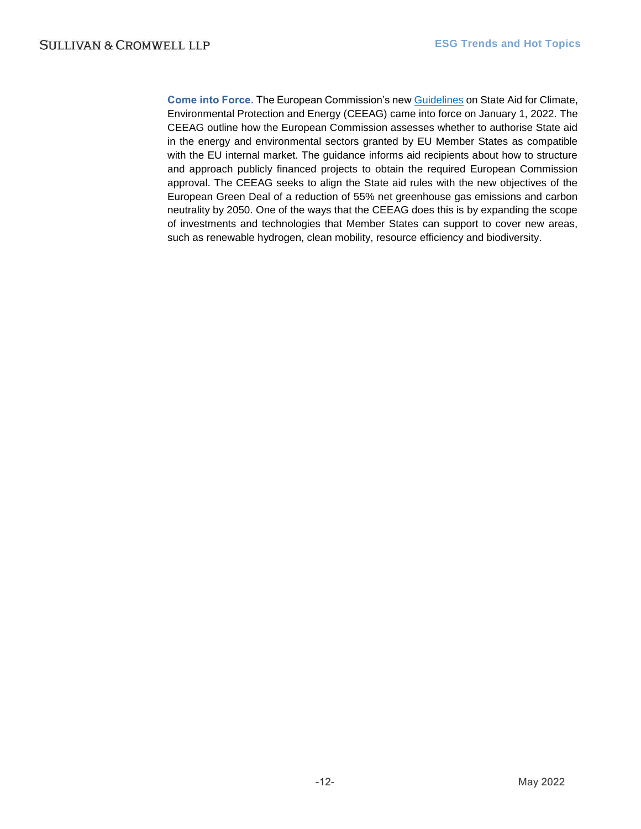**Come into Force.** The European Commission's ne[w Guidelines](https://ec.europa.eu/competition-policy/sectors/energy-and-environment/legislation_en) on State Aid for Climate, Environmental Protection and Energy (CEEAG) came into force on January 1, 2022. The CEEAG outline how the European Commission assesses whether to authorise State aid in the energy and environmental sectors granted by EU Member States as compatible with the EU internal market. The guidance informs aid recipients about how to structure and approach publicly financed projects to obtain the required European Commission approval. The CEEAG seeks to align the State aid rules with the new objectives of the European Green Deal of a reduction of 55% net greenhouse gas emissions and carbon neutrality by 2050. One of the ways that the CEEAG does this is by expanding the scope of investments and technologies that Member States can support to cover new areas, such as renewable hydrogen, clean mobility, resource efficiency and biodiversity.